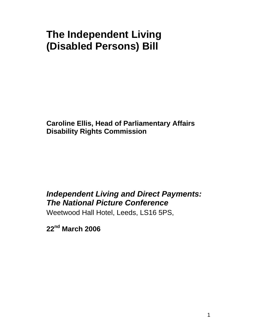# **The Independent Living (Disabled Persons) Bill**

**Caroline Ellis, Head of Parliamentary Affairs Disability Rights Commission** 

# *Independent Living and Direct Payments: The National Picture Conference*

Weetwood Hall Hotel, Leeds, LS16 5PS,

**22nd March 2006**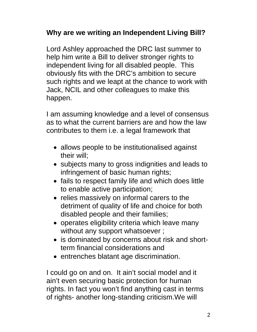## **Why are we writing an Independent Living Bill?**

Lord Ashley approached the DRC last summer to help him write a Bill to deliver stronger rights to independent living for all disabled people. This obviously fits with the DRC's ambition to secure such rights and we leapt at the chance to work with Jack, NCIL and other colleagues to make this happen.

I am assuming knowledge and a level of consensus as to what the current barriers are and how the law contributes to them i.e. a legal framework that

- allows people to be institutionalised against their will;
- subjects many to gross indignities and leads to infringement of basic human rights;
- fails to respect family life and which does little to enable active participation;
- relies massively on informal carers to the detriment of quality of life and choice for both disabled people and their families;
- operates eligibility criteria which leave many without any support whatsoever;
- is dominated by concerns about risk and shortterm financial considerations and
- entrenches blatant age discrimination.

I could go on and on. It ain't social model and it ain't even securing basic protection for human rights. In fact you won't find anything cast in terms of rights- another long-standing criticism.We will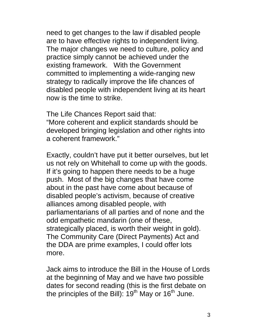need to get changes to the law if disabled people are to have effective rights to independent living. The major changes we need to culture, policy and practice simply cannot be achieved under the existing framework. With the Government committed to implementing a wide-ranging new strategy to radically improve the life chances of disabled people with independent living at its heart now is the time to strike.

The Life Chances Report said that: "More coherent and explicit standards should be developed bringing legislation and other rights into a coherent framework."

Exactly, couldn't have put it better ourselves, but let us not rely on Whitehall to come up with the goods. If it's going to happen there needs to be a huge push. Most of the big changes that have come about in the past have come about because of disabled people's activism, because of creative alliances among disabled people, with parliamentarians of all parties and of none and the odd empathetic mandarin (one of these, strategically placed, is worth their weight in gold). The Community Care (Direct Payments) Act and the DDA are prime examples, I could offer lots more.

Jack aims to introduce the Bill in the House of Lords at the beginning of May and we have two possible dates for second reading (this is the first debate on the principles of the Bill):  $19<sup>th</sup>$  May or  $16<sup>th</sup>$  June.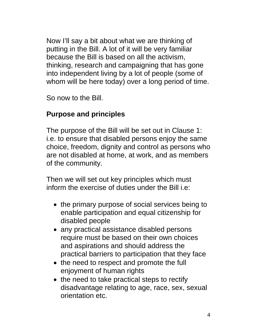Now I'll say a bit about what we are thinking of putting in the Bill. A lot of it will be very familiar because the Bill is based on all the activism, thinking, research and campaigning that has gone into independent living by a lot of people (some of whom will be here today) over a long period of time.

So now to the Bill.

## **Purpose and principles**

The purpose of the Bill will be set out in Clause 1: i.e. to ensure that disabled persons enjoy the same choice, freedom, dignity and control as persons who are not disabled at home, at work, and as members of the community.

Then we will set out key principles which must inform the exercise of duties under the Bill i.e:

- the primary purpose of social services being to enable participation and equal citizenship for disabled people
- any practical assistance disabled persons require must be based on their own choices and aspirations and should address the practical barriers to participation that they face
- the need to respect and promote the full enjoyment of human rights
- the need to take practical steps to rectify disadvantage relating to age, race, sex, sexual orientation etc.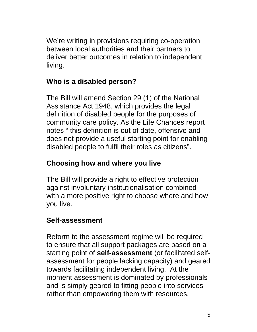We're writing in provisions requiring co-operation between local authorities and their partners to deliver better outcomes in relation to independent living.

## **Who is a disabled person?**

The Bill will amend Section 29 (1) of the National Assistance Act 1948, which provides the legal definition of disabled people for the purposes of community care policy. As the Life Chances report notes " this definition is out of date, offensive and does not provide a useful starting point for enabling disabled people to fulfil their roles as citizens".

# **Choosing how and where you live**

The Bill will provide a right to effective protection against involuntary institutionalisation combined with a more positive right to choose where and how you live.

# **Self-assessment**

Reform to the assessment regime will be required to ensure that all support packages are based on a starting point of **self-assessment** (or facilitated selfassessment for people lacking capacity) and geared towards facilitating independent living. At the moment assessment is dominated by professionals and is simply geared to fitting people into services rather than empowering them with resources.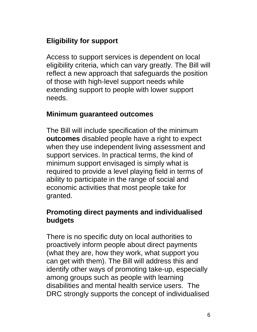# **Eligibility for support**

Access to support services is dependent on local eligibility criteria, which can vary greatly. The Bill will reflect a new approach that safeguards the position of those with high-level support needs while extending support to people with lower support needs.

#### **Minimum guaranteed outcomes**

The Bill will include specification of the minimum **outcomes** disabled people have a right to expect when they use independent living assessment and support services. In practical terms, the kind of minimum support envisaged is simply what is required to provide a level playing field in terms of ability to participate in the range of social and economic activities that most people take for granted.

### **Promoting direct payments and individualised budgets**

There is no specific duty on local authorities to proactively inform people about direct payments (what they are, how they work, what support you can get with them). The Bill will address this and identify other ways of promoting take-up, especially among groups such as people with learning disabilities and mental health service users. The DRC strongly supports the concept of individualised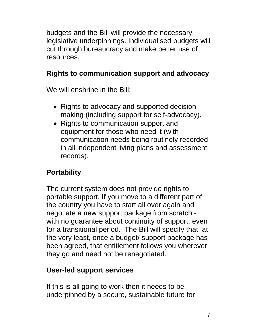budgets and the Bill will provide the necessary legislative underpinnings. Individualised budgets will cut through bureaucracy and make better use of resources.

# **Rights to communication support and advocacy**

We will enshrine in the Bill:

- Rights to advocacy and supported decisionmaking (including support for self-advocacy).
- Rights to communication support and equipment for those who need it (with communication needs being routinely recorded in all independent living plans and assessment records).

# **Portability**

The current system does not provide rights to portable support. If you move to a different part of the country you have to start all over again and negotiate a new support package from scratch with no guarantee about continuity of support, even for a transitional period. The Bill will specify that, at the very least, once a budget/ support package has been agreed, that entitlement follows you wherever they go and need not be renegotiated.

## **User-led support services**

If this is all going to work then it needs to be underpinned by a secure, sustainable future for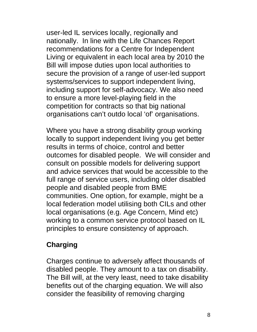user-led IL services locally, regionally and nationally. In line with the Life Chances Report recommendations for a Centre for Independent Living or equivalent in each local area by 2010 the Bill will impose duties upon local authorities to secure the provision of a range of user-led support systems/services to support independent living, including support for self-advocacy. We also need to ensure a more level-playing field in the competition for contracts so that big national organisations can't outdo local 'of' organisations.

Where you have a strong disability group working locally to support independent living you get better results in terms of choice, control and better outcomes for disabled people. We will consider and consult on possible models for delivering support and advice services that would be accessible to the full range of service users, including older disabled people and disabled people from BME communities. One option, for example, might be a local federation model utilising both CILs and other local organisations (e.g. Age Concern, Mind etc) working to a common service protocol based on IL principles to ensure consistency of approach.

### **Charging**

Charges continue to adversely affect thousands of disabled people. They amount to a tax on disability. The Bill will, at the very least, need to take disability benefits out of the charging equation. We will also consider the feasibility of removing charging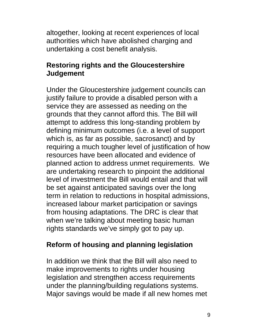altogether, looking at recent experiences of local authorities which have abolished charging and undertaking a cost benefit analysis.

#### **Restoring rights and the Gloucestershire Judgement**

Under the Gloucestershire judgement councils can justify failure to provide a disabled person with a service they are assessed as needing on the grounds that they cannot afford this. The Bill will attempt to address this long-standing problem by defining minimum outcomes (i.e. a level of support which is, as far as possible, sacrosanct) and by requiring a much tougher level of justification of how resources have been allocated and evidence of planned action to address unmet requirements. We are undertaking research to pinpoint the additional level of investment the Bill would entail and that will be set against anticipated savings over the long term in relation to reductions in hospital admissions, increased labour market participation or savings from housing adaptations. The DRC is clear that when we're talking about meeting basic human rights standards we've simply got to pay up.

#### **Reform of housing and planning legislation**

In addition we think that the Bill will also need to make improvements to rights under housing legislation and strengthen access requirements under the planning/building regulations systems. Major savings would be made if all new homes met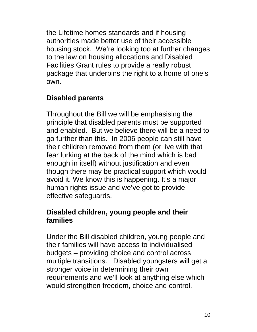the Lifetime homes standards and if housing authorities made better use of their accessible housing stock. We're looking too at further changes to the law on housing allocations and Disabled Facilities Grant rules to provide a really robust package that underpins the right to a home of one's own.

## **Disabled parents**

Throughout the Bill we will be emphasising the principle that disabled parents must be supported and enabled. But we believe there will be a need to go further than this. In 2006 people can still have their children removed from them (or live with that fear lurking at the back of the mind which is bad enough in itself) without justification and even though there may be practical support which would avoid it. We know this is happening. It's a major human rights issue and we've got to provide effective safeguards.

### **Disabled children, young people and their families**

Under the Bill disabled children, young people and their families will have access to individualised budgets – providing choice and control across multiple transitions. Disabled youngsters will get a stronger voice in determining their own requirements and we'll look at anything else which would strengthen freedom, choice and control.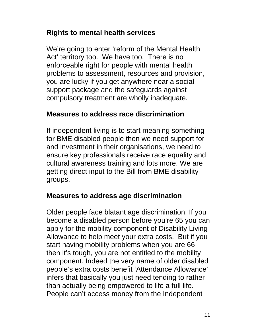### **Rights to mental health services**

We're going to enter 'reform of the Mental Health Act' territory too. We have too. There is no enforceable right for people with mental health problems to assessment, resources and provision, you are lucky if you get anywhere near a social support package and the safeguards against compulsory treatment are wholly inadequate.

#### **Measures to address race discrimination**

If independent living is to start meaning something for BME disabled people then we need support for and investment in their organisations, we need to ensure key professionals receive race equality and cultural awareness training and lots more. We are getting direct input to the Bill from BME disability groups.

### **Measures to address age discrimination**

Older people face blatant age discrimination. If you become a disabled person before you're 65 you can apply for the mobility component of Disability Living Allowance to help meet your extra costs. But if you start having mobility problems when you are 66 then it's tough, you are not entitled to the mobility component. Indeed the very name of older disabled people's extra costs benefit 'Attendance Allowance' infers that basically you just need tending to rather than actually being empowered to life a full life. People can't access money from the Independent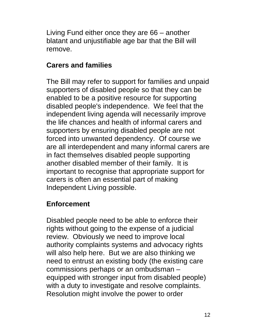Living Fund either once they are 66 – another blatant and unjustifiable age bar that the Bill will remove.

#### **Carers and families**

The Bill may refer to support for families and unpaid supporters of disabled people so that they can be enabled to be a positive resource for supporting disabled people's independence. We feel that the independent living agenda will necessarily improve the life chances and health of informal carers and supporters by ensuring disabled people are not forced into unwanted dependency. Of course we are all interdependent and many informal carers are in fact themselves disabled people supporting another disabled member of their family. It is important to recognise that appropriate support for carers is often an essential part of making Independent Living possible.

#### **Enforcement**

Disabled people need to be able to enforce their rights without going to the expense of a judicial review. Obviously we need to improve local authority complaints systems and advocacy rights will also help here. But we are also thinking we need to entrust an existing body (the existing care commissions perhaps or an ombudsman – equipped with stronger input from disabled people) with a duty to investigate and resolve complaints. Resolution might involve the power to order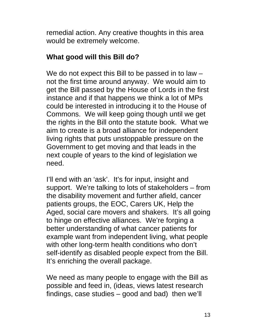remedial action. Any creative thoughts in this area would be extremely welcome.

### **What good will this Bill do?**

We do not expect this Bill to be passed in to law – not the first time around anyway. We would aim to get the Bill passed by the House of Lords in the first instance and if that happens we think a lot of MPs could be interested in introducing it to the House of Commons. We will keep going though until we get the rights in the Bill onto the statute book. What we aim to create is a broad alliance for independent living rights that puts unstoppable pressure on the Government to get moving and that leads in the next couple of years to the kind of legislation we need.

I'll end with an 'ask'. It's for input, insight and support. We're talking to lots of stakeholders – from the disability movement and further afield, cancer patients groups, the EOC, Carers UK, Help the Aged, social care movers and shakers. It's all going to hinge on effective alliances. We're forging a better understanding of what cancer patients for example want from independent living, what people with other long-term health conditions who don't self-identify as disabled people expect from the Bill. It's enriching the overall package.

We need as many people to engage with the Bill as possible and feed in, (ideas, views latest research findings, case studies – good and bad) then we'll